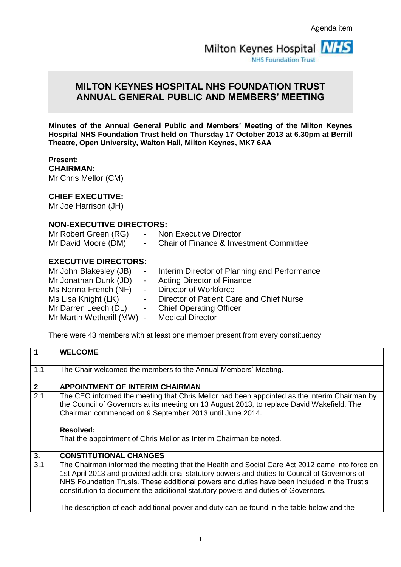## **MILTON KEYNES HOSPITAL NHS FOUNDATION TRUST ANNUAL GENERAL PUBLIC AND MEMBERS' MEETING**

**Minutes of the Annual General Public and Members' Meeting of the Milton Keynes Hospital NHS Foundation Trust held on Thursday 17 October 2013 at 6.30pm at Berrill Theatre, Open University, Walton Hall, Milton Keynes, MK7 6AA**

**Present: CHAIRMAN:**  Mr Chris Mellor (CM)

## **CHIEF EXECUTIVE:**

Mr Joe Harrison (JH)

## **NON-EXECUTIVE DIRECTORS:**

| Mr Robert Green (RG)        | $\sim$ $-$      | <b>Non Executive Director</b>                      |
|-----------------------------|-----------------|----------------------------------------------------|
| Mr David Moore (DM)         | $\sim$ 10 $\pm$ | <b>Chair of Finance &amp; Investment Committee</b> |
| <b>EXECUTIVE DIRECTORS:</b> |                 |                                                    |
| Mr John Blakesley (JB)      |                 | - Interim Director of Planning and Performance     |
| Mr Jonathan Dunk (JD)       |                 | - Acting Director of Finance                       |
| Ms Norma French (NF)        | $\sim$          | <b>Director of Workforce</b>                       |
| Ms Lisa Knight (LK)         | $\sim$          | Director of Patient Care and Chief Nurse           |
| Mr Darren Leech (DL)        |                 | - Chief Operating Officer                          |
| Mr Martin Wetherill (MW)    | $\sim$ $ \sim$  | <b>Medical Director</b>                            |
|                             |                 |                                                    |

There were 43 members with at least one member present from every constituency

| 1                | <b>WELCOME</b>                                                                                                                                                                                                                                                                                                                                                                     |
|------------------|------------------------------------------------------------------------------------------------------------------------------------------------------------------------------------------------------------------------------------------------------------------------------------------------------------------------------------------------------------------------------------|
| 1.1              | The Chair welcomed the members to the Annual Members' Meeting.                                                                                                                                                                                                                                                                                                                     |
| $\overline{2}$   | <b>APPOINTMENT OF INTERIM CHAIRMAN</b>                                                                                                                                                                                                                                                                                                                                             |
| $\overline{2.1}$ | The CEO informed the meeting that Chris Mellor had been appointed as the interim Chairman by<br>the Council of Governors at its meeting on 13 August 2013, to replace David Wakefield. The<br>Chairman commenced on 9 September 2013 until June 2014.<br><b>Resolved:</b><br>That the appointment of Chris Mellor as Interim Chairman be noted.                                    |
| 3.               | <b>CONSTITUTIONAL CHANGES</b>                                                                                                                                                                                                                                                                                                                                                      |
| 3.1              | The Chairman informed the meeting that the Health and Social Care Act 2012 came into force on<br>1st April 2013 and provided additional statutory powers and duties to Council of Governors of<br>NHS Foundation Trusts. These additional powers and duties have been included in the Trust's<br>constitution to document the additional statutory powers and duties of Governors. |
|                  | The description of each additional power and duty can be found in the table below and the                                                                                                                                                                                                                                                                                          |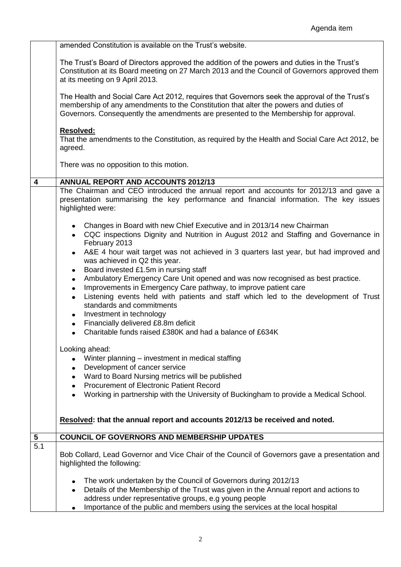|     | amended Constitution is available on the Trust's website.                                                                                                                                                                                                                        |
|-----|----------------------------------------------------------------------------------------------------------------------------------------------------------------------------------------------------------------------------------------------------------------------------------|
|     | The Trust's Board of Directors approved the addition of the powers and duties in the Trust's<br>Constitution at its Board meeting on 27 March 2013 and the Council of Governors approved them<br>at its meeting on 9 April 2013.                                                 |
|     | The Health and Social Care Act 2012, requires that Governors seek the approval of the Trust's<br>membership of any amendments to the Constitution that alter the powers and duties of<br>Governors. Consequently the amendments are presented to the Membership for approval.    |
|     | <b>Resolved:</b><br>That the amendments to the Constitution, as required by the Health and Social Care Act 2012, be<br>agreed.                                                                                                                                                   |
|     | There was no opposition to this motion.                                                                                                                                                                                                                                          |
| 4   | <b>ANNUAL REPORT AND ACCOUNTS 2012/13</b>                                                                                                                                                                                                                                        |
|     | The Chairman and CEO introduced the annual report and accounts for 2012/13 and gave a<br>presentation summarising the key performance and financial information. The key issues<br>highlighted were:                                                                             |
|     | Changes in Board with new Chief Executive and in 2013/14 new Chairman<br>CQC inspections Dignity and Nutrition in August 2012 and Staffing and Governance in<br>February 2013                                                                                                    |
|     | A&E 4 hour wait target was not achieved in 3 quarters last year, but had improved and<br>$\bullet$<br>was achieved in Q2 this year.<br>Board invested £1.5m in nursing staff<br>$\bullet$<br>Ambulatory Emergency Care Unit opened and was now recognised as best practice.<br>٠ |
|     | Improvements in Emergency Care pathway, to improve patient care<br>$\bullet$<br>Listening events held with patients and staff which led to the development of Trust<br>$\bullet$<br>standards and commitments                                                                    |
|     | Investment in technology<br>$\bullet$                                                                                                                                                                                                                                            |
|     | Financially delivered £8.8m deficit<br>$\bullet$                                                                                                                                                                                                                                 |
|     | Charitable funds raised £380K and had a balance of £634K                                                                                                                                                                                                                         |
|     | Looking ahead:                                                                                                                                                                                                                                                                   |
|     | Winter planning - investment in medical staffing<br>Development of cancer service<br>٠                                                                                                                                                                                           |
|     | Ward to Board Nursing metrics will be published<br>۰                                                                                                                                                                                                                             |
|     | <b>Procurement of Electronic Patient Record</b>                                                                                                                                                                                                                                  |
|     | Working in partnership with the University of Buckingham to provide a Medical School.                                                                                                                                                                                            |
|     | Resolved: that the annual report and accounts 2012/13 be received and noted.                                                                                                                                                                                                     |
| 5   | <b>COUNCIL OF GOVERNORS AND MEMBERSHIP UPDATES</b>                                                                                                                                                                                                                               |
| 5.1 | Bob Collard, Lead Governor and Vice Chair of the Council of Governors gave a presentation and<br>highlighted the following:                                                                                                                                                      |
|     | The work undertaken by the Council of Governors during 2012/13<br>Details of the Membership of the Trust was given in the Annual report and actions to<br>$\bullet$<br>address under representative groups, e.g young people                                                     |
|     | Importance of the public and members using the services at the local hospital                                                                                                                                                                                                    |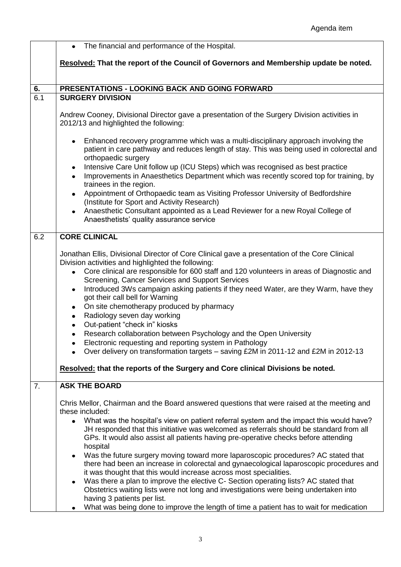|     | • The financial and performance of the Hospital.                                                                                                                                                                                                                                                                                                                                                                                                                                                                                                                                                                                                                                                                                                                                                                                                |
|-----|-------------------------------------------------------------------------------------------------------------------------------------------------------------------------------------------------------------------------------------------------------------------------------------------------------------------------------------------------------------------------------------------------------------------------------------------------------------------------------------------------------------------------------------------------------------------------------------------------------------------------------------------------------------------------------------------------------------------------------------------------------------------------------------------------------------------------------------------------|
|     | Resolved: That the report of the Council of Governors and Membership update be noted.                                                                                                                                                                                                                                                                                                                                                                                                                                                                                                                                                                                                                                                                                                                                                           |
|     |                                                                                                                                                                                                                                                                                                                                                                                                                                                                                                                                                                                                                                                                                                                                                                                                                                                 |
| 6.  | PRESENTATIONS - LOOKING BACK AND GOING FORWARD                                                                                                                                                                                                                                                                                                                                                                                                                                                                                                                                                                                                                                                                                                                                                                                                  |
| 6.1 | <b>SURGERY DIVISION</b>                                                                                                                                                                                                                                                                                                                                                                                                                                                                                                                                                                                                                                                                                                                                                                                                                         |
|     | Andrew Cooney, Divisional Director gave a presentation of the Surgery Division activities in<br>2012/13 and highlighted the following:                                                                                                                                                                                                                                                                                                                                                                                                                                                                                                                                                                                                                                                                                                          |
|     | Enhanced recovery programme which was a multi-disciplinary approach involving the<br>$\bullet$<br>patient in care pathway and reduces length of stay. This was being used in colorectal and<br>orthopaedic surgery                                                                                                                                                                                                                                                                                                                                                                                                                                                                                                                                                                                                                              |
|     | Intensive Care Unit follow up (ICU Steps) which was recognised as best practice<br>$\bullet$<br>Improvements in Anaesthetics Department which was recently scored top for training, by<br>$\bullet$<br>trainees in the region.                                                                                                                                                                                                                                                                                                                                                                                                                                                                                                                                                                                                                  |
|     | Appointment of Orthopaedic team as Visiting Professor University of Bedfordshire<br>$\bullet$<br>(Institute for Sport and Activity Research)                                                                                                                                                                                                                                                                                                                                                                                                                                                                                                                                                                                                                                                                                                    |
|     | Anaesthetic Consultant appointed as a Lead Reviewer for a new Royal College of<br>$\bullet$<br>Anaesthetists' quality assurance service                                                                                                                                                                                                                                                                                                                                                                                                                                                                                                                                                                                                                                                                                                         |
| 6.2 | <b>CORE CLINICAL</b>                                                                                                                                                                                                                                                                                                                                                                                                                                                                                                                                                                                                                                                                                                                                                                                                                            |
|     | Jonathan Ellis, Divisional Director of Core Clinical gave a presentation of the Core Clinical<br>Division activities and highlighted the following:<br>Core clinical are responsible for 600 staff and 120 volunteers in areas of Diagnostic and<br>$\bullet$<br>Screening, Cancer Services and Support Services<br>Introduced 3Ws campaign asking patients if they need Water, are they Warm, have they<br>$\bullet$<br>got their call bell for Warning<br>On site chemotherapy produced by pharmacy<br>$\bullet$<br>Radiology seven day working<br>$\bullet$<br>Out-patient "check in" kiosks<br>$\bullet$<br>Research collaboration between Psychology and the Open University<br>$\bullet$<br>Electronic requesting and reporting system in Pathology<br>Over delivery on transformation targets – saving £2M in 2011-12 and £2M in 2012-13 |
|     | Resolved: that the reports of the Surgery and Core clinical Divisions be noted.                                                                                                                                                                                                                                                                                                                                                                                                                                                                                                                                                                                                                                                                                                                                                                 |
| 7.  | <b>ASK THE BOARD</b>                                                                                                                                                                                                                                                                                                                                                                                                                                                                                                                                                                                                                                                                                                                                                                                                                            |
|     | Chris Mellor, Chairman and the Board answered questions that were raised at the meeting and<br>these included:<br>What was the hospital's view on patient referral system and the impact this would have?<br>$\bullet$<br>JH responded that this initiative was welcomed as referrals should be standard from all<br>GPs. It would also assist all patients having pre-operative checks before attending                                                                                                                                                                                                                                                                                                                                                                                                                                        |
|     | hospital<br>Was the future surgery moving toward more laparoscopic procedures? AC stated that<br>$\bullet$<br>there had been an increase in colorectal and gynaecological laparoscopic procedures and<br>it was thought that this would increase across most specialities.                                                                                                                                                                                                                                                                                                                                                                                                                                                                                                                                                                      |
|     | Was there a plan to improve the elective C- Section operating lists? AC stated that<br>$\bullet$<br>Obstetrics waiting lists were not long and investigations were being undertaken into<br>having 3 patients per list.<br>What was being done to improve the length of time a patient has to wait for medication                                                                                                                                                                                                                                                                                                                                                                                                                                                                                                                               |
|     |                                                                                                                                                                                                                                                                                                                                                                                                                                                                                                                                                                                                                                                                                                                                                                                                                                                 |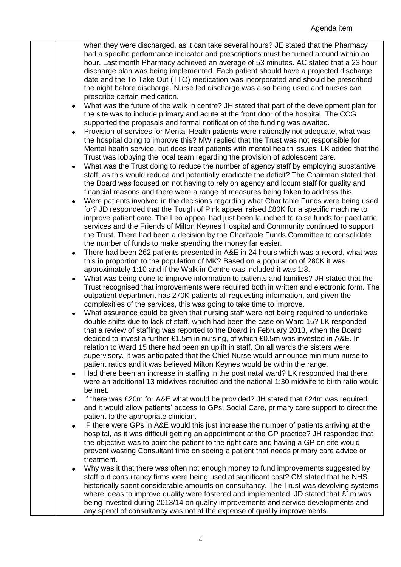when they were discharged, as it can take several hours? JE stated that the Pharmacy had a specific performance indicator and prescriptions must be turned around within an hour. Last month Pharmacy achieved an average of 53 minutes. AC stated that a 23 hour discharge plan was being implemented. Each patient should have a projected discharge date and the To Take Out (TTO) medication was incorporated and should be prescribed the night before discharge. Nurse led discharge was also being used and nurses can prescribe certain medication.

- What was the future of the walk in centre? JH stated that part of the development plan for  $\bullet$ the site was to include primary and acute at the front door of the hospital. The CCG supported the proposals and formal notification of the funding was awaited.
- Provision of services for Mental Health patients were nationally not adequate, what was  $\bullet$ the hospital doing to improve this? MW replied that the Trust was not responsible for Mental health service, but does treat patients with mental health issues. LK added that the Trust was lobbying the local team regarding the provision of adolescent care.
- What was the Trust doing to reduce the number of agency staff by employing substantive  $\bullet$ staff, as this would reduce and potentially eradicate the deficit? The Chairman stated that the Board was focused on not having to rely on agency and locum staff for quality and financial reasons and there were a range of measures being taken to address this.
- Were patients involved in the decisions regarding what Charitable Funds were being used  $\bullet$ for? JD responded that the Tough of Pink appeal raised £80K for a specific machine to improve patient care. The Leo appeal had just been launched to raise funds for paediatric services and the Friends of Milton Keynes Hospital and Community continued to support the Trust. There had been a decision by the Charitable Funds Committee to consolidate the number of funds to make spending the money far easier.
- There had been 262 patients presented in A&E in 24 hours which was a record, what was  $\bullet$ this in proportion to the population of MK? Based on a population of 280K it was approximately 1:10 and if the Walk in Centre was included it was 1:8.
- What was being done to improve information to patients and families? JH stated that the Trust recognised that improvements were required both in written and electronic form. The outpatient department has 270K patients all requesting information, and given the complexities of the services, this was going to take time to improve.
- What assurance could be given that nursing staff were not being required to undertake  $\bullet$ double shifts due to lack of staff, which had been the case on Ward 15? LK responded that a review of staffing was reported to the Board in February 2013, when the Board decided to invest a further £1.5m in nursing, of which £0.5m was invested in A&E. In relation to Ward 15 there had been an uplift in staff. On all wards the sisters were supervisory. It was anticipated that the Chief Nurse would announce minimum nurse to patient ratios and it was believed Milton Keynes would be within the range.
- Had there been an increase in staffing in the post natal ward? LK responded that there  $\bullet$ were an additional 13 midwives recruited and the national 1:30 midwife to birth ratio would be met.
- If there was £20m for A&E what would be provided? JH stated that £24m was required and it would allow patients' access to GPs, Social Care, primary care support to direct the patient to the appropriate clinician.
- IF there were GPs in A&E would this just increase the number of patients arriving at the  $\bullet$ hospital, as it was difficult getting an appointment at the GP practice? JH responded that the objective was to point the patient to the right care and having a GP on site would prevent wasting Consultant time on seeing a patient that needs primary care advice or treatment.
- Why was it that there was often not enough money to fund improvements suggested by staff but consultancy firms were being used at significant cost? CM stated that he NHS historically spent considerable amounts on consultancy. The Trust was devolving systems where ideas to improve quality were fostered and implemented. JD stated that £1m was being invested during 2013/14 on quality improvements and service developments and any spend of consultancy was not at the expense of quality improvements.